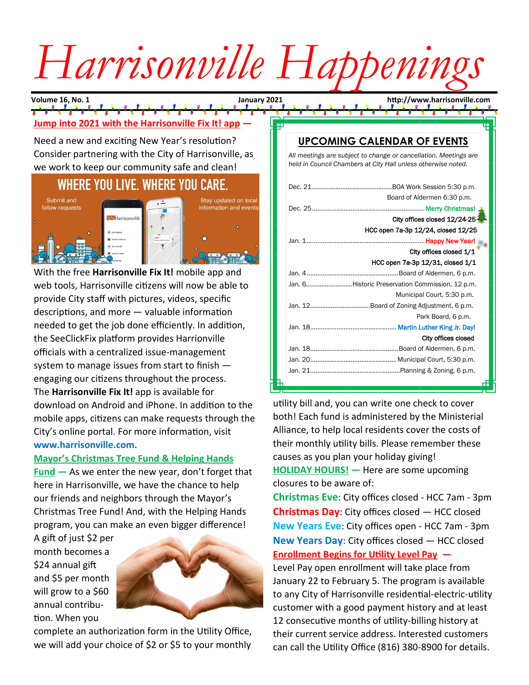# Harrisonville Happening

**Volume 16, No. 1 January 2021 http://www.harrisonville.com**

## **Jump into 2021 with the Harrisonville Fix It! app —**

Need a new and exciting New Year's resolution? Consider partnering with the City of Harrisonville, as we work to keep our community safe and clean!

## WHERE YOU LIVE. WHERE YOU CARE.



With the free **Harrisonville Fix It!** mobile app and web tools, Harrisonville citizens will now be able to provide City staff with pictures, videos, specific descriptions, and more — valuable information needed to get the job done efficiently. In addition, the SeeClickFix platform provides Harrionville officials with a centralized issue-management system to manage issues from start to finish engaging our citizens throughout the process. The **Harrisonville Fix It!** app is available for download on Android and iPhone. In addition to the mobile apps, citizens can make requests through the City's online portal. For more information, visit **www.harrisonville.com**.

#### **Mayor's Christmas Tree Fund & Helping Hands**

**Fund —** As we enter the new year, don't forget that here in Harrisonville, we have the chance to help our friends and neighbors through the Mayor's Christmas Tree Fund! And, with the Helping Hands program, you can make an even bigger difference!

A gift of just \$2 per month becomes a \$24 annual gift and \$5 per month will grow to a \$60 annual contribution. When you



complete an authorization form in the Utility Office, we will add your choice of \$2 or \$5 to your monthly

### **UPCOMING CALENDAR OF EVENTS**

*All meetings are subject to change or cancellation. Meetings are held in Council Chambers at City Hall unless otherwise noted.*

| Board of Aldermen 6:30 p.m.                     |
|-------------------------------------------------|
|                                                 |
| City offices closed 12/24-25-                   |
| HCC open 7a-3p 12/24, closed 12/25              |
|                                                 |
| City offices closed 1/1                         |
| HCC open 7a-3p 12/31, closed 1/1                |
|                                                 |
| Jan. 6Historic Preservation Commission, 12 p.m. |
| Municipal Court, 5:30 p.m.                      |
|                                                 |
| Park Board, 6 p.m.                              |
|                                                 |
| City offices closed                             |
|                                                 |
|                                                 |
|                                                 |
|                                                 |
|                                                 |

utility bill and, you can write one check to cover both! Each fund is administered by the Ministerial Alliance, to help local residents cover the costs of their monthly utility bills. Please remember these causes as you plan your holiday giving! **HOLIDAY HOURS! —** Here are some upcoming closures to be aware of:

**Christmas Eve**: City offices closed - HCC 7am - 3pm **Christmas Day**: City offices closed — HCC closed **New Years Eve**: City offices open - HCC 7am - 3pm **New Years Day**: City offices closed — HCC closed **Enrollment Begins for Utility Level Pay —**

Level Pay open enrollment will take place from January 22 to February 5. The program is available to any City of Harrisonville residential-electric-utility customer with a good payment history and at least 12 consecutive months of utility-billing history at their current service address. Interested customers can call the Utility Office (816) 380-8900 for details.